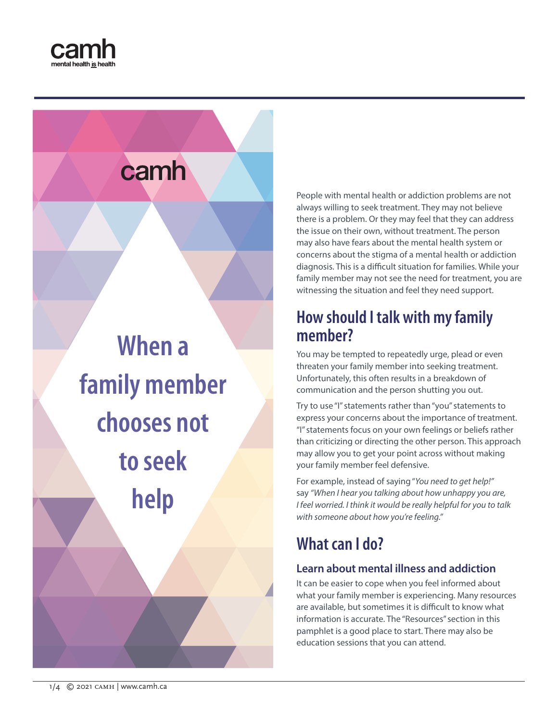



**When a family member chooses not to seek help**

People with mental health or addiction problems are not always willing to seek treatment. They may not believe there is a problem. Or they may feel that they can address the issue on their own, without treatment. The person may also have fears about the mental health system or concerns about the stigma of a mental health or addiction diagnosis. This is a difficult situation for families. While your family member may not see the need for treatment, you are witnessing the situation and feel they need support.

# **How should I talk with my family member?**

You may be tempted to repeatedly urge, plead or even threaten your family member into seeking treatment. Unfortunately, this often results in a breakdown of communication and the person shutting you out.

Try to use "I" statements rather than "you" statements to express your concerns about the importance of treatment. "I" statements focus on your own feelings or beliefs rather than criticizing or directing the other person. This approach may allow you to get your point across without making your family member feel defensive.

For example, instead of saying "*You need to get help!"* say *"When I hear you talking about how unhappy you are, I feel worried. I think it would be really helpful for you to talk with someone about how you're feeling."*

# **What can I do?**

### **Learn about mental illness and addiction**

It can be easier to cope when you feel informed about what your family member is experiencing. Many resources are available, but sometimes it is difficult to know what information is accurate. The "Resources" section in this pamphlet is a good place to start. There may also be education sessions that you can attend.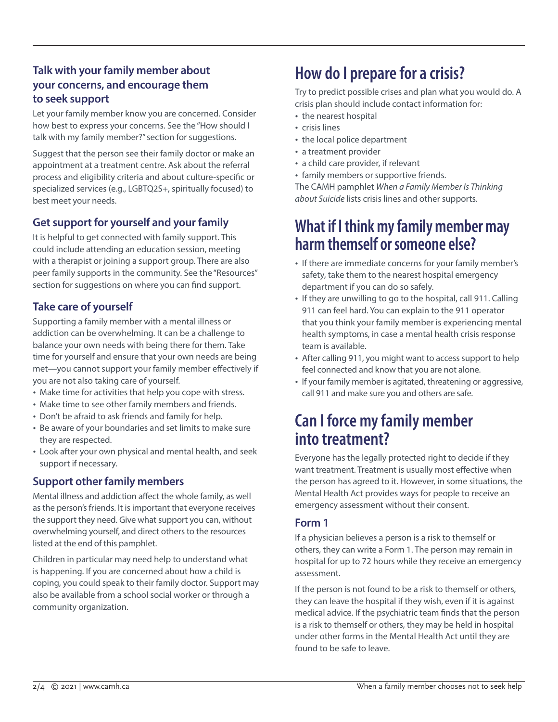### **Talk with your family member about your concerns, and encourage them to seek support**

Let your family member know you are concerned. Consider how best to express your concerns. See the "How should I talk with my family member?" section for suggestions.

Suggest that the person see their family doctor or make an appointment at a treatment centre. Ask about the referral process and eligibility criteria and about culture-specific or specialized services (e.g., LGBTQ2S+, spiritually focused) to best meet your needs.

### **Get support for yourself and your family**

It is helpful to get connected with family support. This could include attending an education session, meeting with a therapist or joining a support group. There are also peer family supports in the community. See the "Resources" section for suggestions on where you can find support.

### **Take care of yourself**

Supporting a family member with a mental illness or addiction can be overwhelming. It can be a challenge to balance your own needs with being there for them. Take time for yourself and ensure that your own needs are being met—you cannot support your family member effectively if you are not also taking care of yourself.

- Make time for activities that help you cope with stress.
- Make time to see other family members and friends.
- Don't be afraid to ask friends and family for help.
- Be aware of your boundaries and set limits to make sure they are respected.
- Look after your own physical and mental health, and seek support if necessary.

### **Support other family members**

Mental illness and addiction affect the whole family, as well as the person's friends. It is important that everyone receives the support they need. Give what support you can, without overwhelming yourself, and direct others to the resources listed at the end of this pamphlet.

Children in particular may need help to understand what is happening. If you are concerned about how a child is coping, you could speak to their family doctor. Support may also be available from a school social worker or through a community organization.

# **How do I prepare for a crisis?**

Try to predict possible crises and plan what you would do. A crisis plan should include contact information for:

- the nearest hospital
- crisis lines
- the local police department
- a treatment provider
- a child care provider, if relevant
- family members or supportive friends.

The CAMH pamphlet *When a Family Member Is Thinking about Suicide* lists crisis lines and other supports.

### **What if I think my family member may harm themself or someone else?**

- If there are immediate concerns for your family member's safety, take them to the nearest hospital emergency department if you can do so safely.
- If they are unwilling to go to the hospital, call 911. Calling 911 can feel hard. You can explain to the 911 operator that you think your family member is experiencing mental health symptoms, in case a mental health crisis response team is available.
- After calling 911, you might want to access support to help feel connected and know that you are not alone.
- If your family member is agitated, threatening or aggressive, call 911 and make sure you and others are safe.

# **Can I force my family member into treatment?**

Everyone has the legally protected right to decide if they want treatment. Treatment is usually most effective when the person has agreed to it. However, in some situations, the Mental Health Act provides ways for people to receive an emergency assessment without their consent.

### **Form 1**

If a physician believes a person is a risk to themself or others, they can write a Form 1. The person may remain in hospital for up to 72 hours while they receive an emergency assessment.

If the person is not found to be a risk to themself or others, they can leave the hospital if they wish, even if it is against medical advice. If the psychiatric team finds that the person is a risk to themself or others, they may be held in hospital under other forms in the Mental Health Act until they are found to be safe to leave.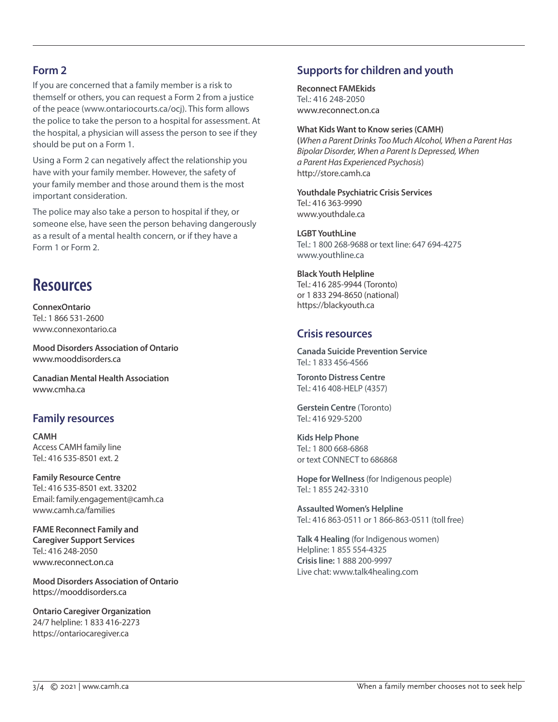#### **Form 2**

If you are concerned that a family member is a risk to themself or others, you can request a Form 2 from a justice of the peace [\(www.ontariocourts.ca/ocj\)](http://www.ontariocourts.ca/ocj). This form allows the police to take the person to a hospital for assessment. At the hospital, a physician will assess the person to see if they should be put on a Form 1.

Using a Form 2 can negatively affect the relationship you have with your family member. However, the safety of your family member and those around them is the most important consideration.

The police may also take a person to hospital if they, or someone else, have seen the person behaving dangerously as a result of a mental health concern, or if they have a Form 1 or Form 2.

## **Resources**

**ConnexOntario** Tel.: 1 866 531-2600 [www.connexontario.ca](http://www.connexontario.ca)

**Mood Disorders Association of Ontario** [www.mooddisorders.ca](http://www.mooddisorders.ca)

**Canadian Mental Health Association** [www.cmha.ca](http://www.cmha.ca)

#### **Family resources**

**CAMH** Access CAMH family line Tel.: 416 535-8501 ext. 2

**Family Resource Centre** Tel.: 416 535-8501 ext. 33202 Email: family.engagement@camh.ca www.camh.ca/families

**FAME Reconnect Family and Caregiver Support Services** Tel.: 416 248-2050 [www.reconnect.on.ca](http://www.reconnect.on.ca)

**Mood Disorders Association of Ontario** <https://mooddisorders.ca>

**Ontario Caregiver Organization** 24/7 helpline: 1 833 416-2273 https://ontariocaregiver.ca

### **Supports for children and youth**

**Reconnect FAMEkids** Tel.: 416 248-2050 [www.reconnect.on.ca](http://www.reconnect.on.ca)

#### **What Kids Want to Know series (CAMH)**

**(***When a Parent Drinks Too Much Alcohol, When a Parent Has Bipolar Disorder, When a Parent Is Depressed, When a Parent Has Experienced Psychosis*) http://store.camh.ca

**Youthdale Psychiatric Crisis Services** Tel.: 416 363-9990 www.youthdale.ca

**LGBT YouthLine** Tel.: 1 800 268-9688 or text line: 647 694-4275 [www.youthline.ca](http://www.youthline.ca)

**Black Youth Helpline** Tel.: 416 285-9944 (Toronto) or 1 833 294-8650 (national) https://blackyouth.ca

#### **Crisis resources**

**Canada Suicide Prevention Service** Tel.: 1 833 456-4566

**Toronto Distress Centre** Tel.: 416 408-HELP (4357)

**Gerstein Centre** (Toronto) Tel.: 416 929-5200

**Kids Help Phone** Tel.: 1 800 668-6868 or text CONNECT to 686868

**Hope for Wellness** (for Indigenous people) Tel.: 1 855 242-3310

**Assaulted Women's Helpline** Tel.: 416 863-0511 or 1 866-863-0511 (toll free)

**Talk 4 Healing** (for Indigenous women) Helpline: 1 855 554-4325 **Crisis line:** 1 888 200-9997 Live chat: [www.talk4healing.com](http://www.talk4healing.com)